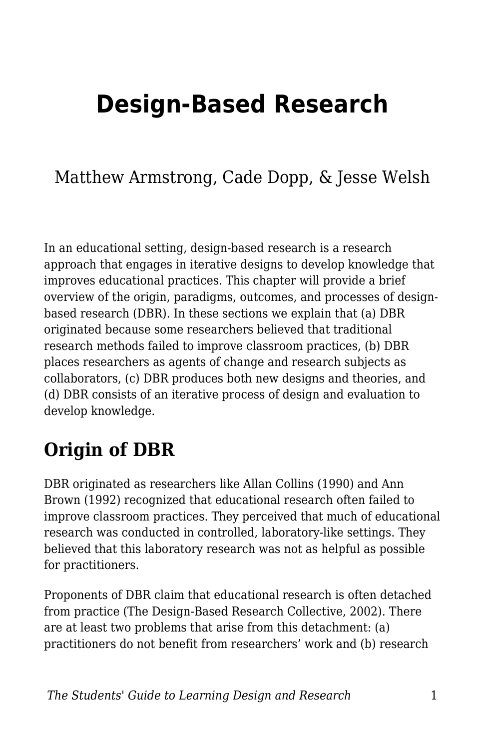# **Design-Based Research**

### Matthew Armstrong, Cade Dopp, & Jesse Welsh

In an educational setting, design-based research is a research approach that engages in iterative designs to develop knowledge that improves educational practices. This chapter will provide a brief overview of the origin, paradigms, outcomes, and processes of designbased research (DBR). In these sections we explain that (a) DBR originated because some researchers believed that traditional research methods failed to improve classroom practices, (b) DBR places researchers as agents of change and research subjects as collaborators, (c) DBR produces both new designs and theories, and (d) DBR consists of an iterative process of design and evaluation to develop knowledge.

### **Origin of DBR**

DBR originated as researchers like Allan Collins (1990) and Ann Brown (1992) recognized that educational research often failed to improve classroom practices. They perceived that much of educational research was conducted in controlled, laboratory-like settings. They believed that this laboratory research was not as helpful as possible for practitioners.

Proponents of DBR claim that educational research is often detached from practice (The Design-Based Research Collective, 2002). There are at least two problems that arise from this detachment: (a) practitioners do not benefit from researchers' work and (b) research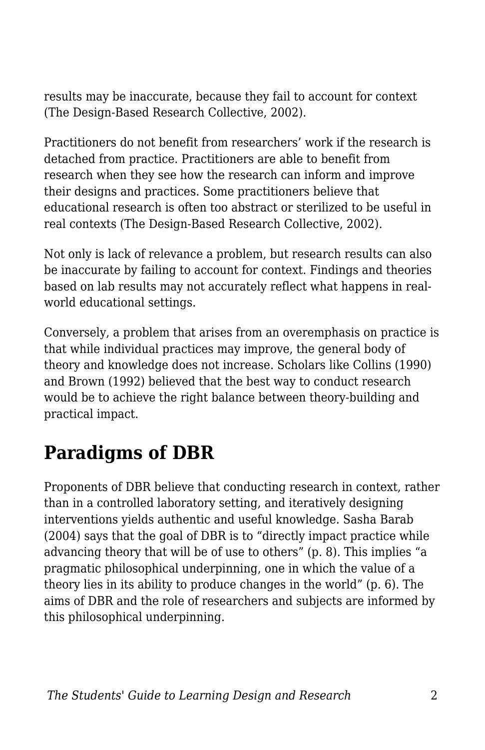results may be inaccurate, because they fail to account for context (The Design-Based Research Collective, 2002).

Practitioners do not benefit from researchers' work if the research is detached from practice. Practitioners are able to benefit from research when they see how the research can inform and improve their designs and practices. Some practitioners believe that educational research is often too abstract or sterilized to be useful in real contexts (The Design-Based Research Collective, 2002).

Not only is lack of relevance a problem, but research results can also be inaccurate by failing to account for context. Findings and theories based on lab results may not accurately reflect what happens in realworld educational settings.

Conversely, a problem that arises from an overemphasis on practice is that while individual practices may improve, the general body of theory and knowledge does not increase. Scholars like Collins (1990) and Brown (1992) believed that the best way to conduct research would be to achieve the right balance between theory-building and practical impact.

# **Paradigms of DBR**

Proponents of DBR believe that conducting research in context, rather than in a controlled laboratory setting, and iteratively designing interventions yields authentic and useful knowledge. Sasha Barab (2004) says that the goal of DBR is to "directly impact practice while advancing theory that will be of use to others" (p. 8). This implies "a pragmatic philosophical underpinning, one in which the value of a theory lies in its ability to produce changes in the world" (p. 6). The aims of DBR and the role of researchers and subjects are informed by this philosophical underpinning.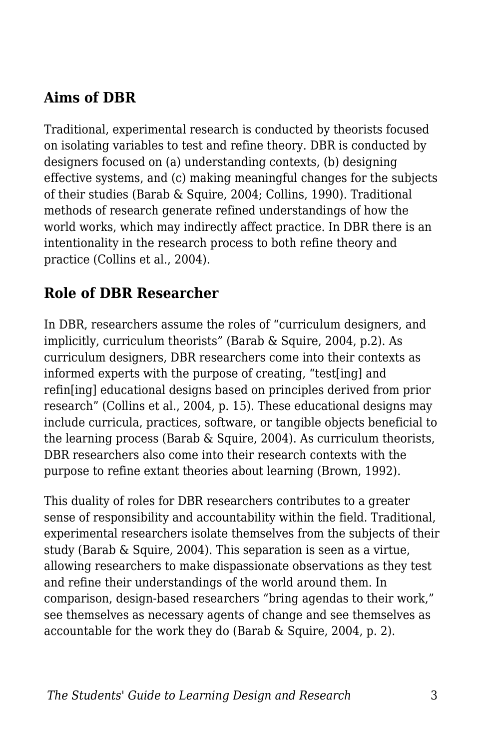#### **Aims of DBR**

Traditional, experimental research is conducted by theorists focused on isolating variables to test and refine theory. DBR is conducted by designers focused on (a) understanding contexts, (b) designing effective systems, and (c) making meaningful changes for the subjects of their studies (Barab & Squire, 2004; Collins, 1990). Traditional methods of research generate refined understandings of how the world works, which may indirectly affect practice. In DBR there is an intentionality in the research process to both refine theory and practice (Collins et al., 2004).

#### **Role of DBR Researcher**

In DBR, researchers assume the roles of "curriculum designers, and implicitly, curriculum theorists" (Barab & Squire, 2004, p.2). As curriculum designers, DBR researchers come into their contexts as informed experts with the purpose of creating, "test[ing] and refin[ing] educational designs based on principles derived from prior research" (Collins et al., 2004, p. 15). These educational designs may include curricula, practices, software, or tangible objects beneficial to the learning process (Barab & Squire, 2004). As curriculum theorists, DBR researchers also come into their research contexts with the purpose to refine extant theories about learning (Brown, 1992).

This duality of roles for DBR researchers contributes to a greater sense of responsibility and accountability within the field. Traditional, experimental researchers isolate themselves from the subjects of their study (Barab & Squire, 2004). This separation is seen as a virtue, allowing researchers to make dispassionate observations as they test and refine their understandings of the world around them. In comparison, design-based researchers "bring agendas to their work," see themselves as necessary agents of change and see themselves as accountable for the work they do (Barab & Squire, 2004, p. 2).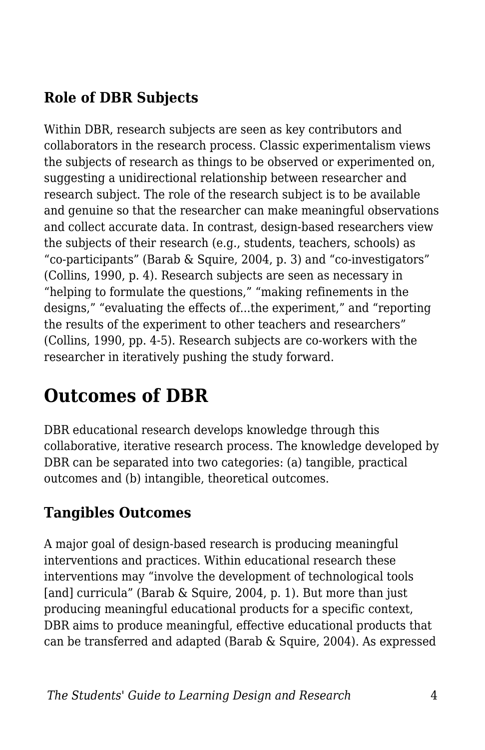#### **Role of DBR Subjects**

Within DBR, research subjects are seen as key contributors and collaborators in the research process. Classic experimentalism views the subjects of research as things to be observed or experimented on, suggesting a unidirectional relationship between researcher and research subject. The role of the research subject is to be available and genuine so that the researcher can make meaningful observations and collect accurate data. In contrast, design-based researchers view the subjects of their research (e.g., students, teachers, schools) as "co-participants" (Barab & Squire, 2004, p. 3) and "co-investigators" (Collins, 1990, p. 4). Research subjects are seen as necessary in "helping to formulate the questions," "making refinements in the designs," "evaluating the effects of...the experiment," and "reporting the results of the experiment to other teachers and researchers" (Collins, 1990, pp. 4-5). Research subjects are co-workers with the researcher in iteratively pushing the study forward.

## **Outcomes of DBR**

DBR educational research develops knowledge through this collaborative, iterative research process. The knowledge developed by DBR can be separated into two categories: (a) tangible, practical outcomes and (b) intangible, theoretical outcomes.

#### **Tangibles Outcomes**

A major goal of design-based research is producing meaningful interventions and practices. Within educational research these interventions may "involve the development of technological tools [and] curricula" (Barab & Squire, 2004, p. 1). But more than just producing meaningful educational products for a specific context, DBR aims to produce meaningful, effective educational products that can be transferred and adapted (Barab & Squire, 2004). As expressed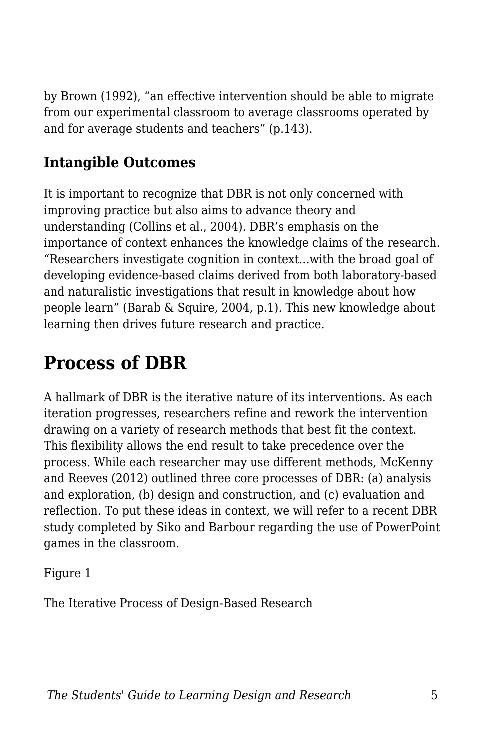by Brown (1992), "an effective intervention should be able to migrate from our experimental classroom to average classrooms operated by and for average students and teachers" (p.143).

#### **Intangible Outcomes**

It is important to recognize that DBR is not only concerned with improving practice but also aims to advance theory and understanding (Collins et al., 2004). DBR's emphasis on the importance of context enhances the knowledge claims of the research. "Researchers investigate cognition in context...with the broad goal of developing evidence-based claims derived from both laboratory-based and naturalistic investigations that result in knowledge about how people learn" (Barab & Squire, 2004, p.1). This new knowledge about learning then drives future research and practice.

## **Process of DBR**

A hallmark of DBR is the iterative nature of its interventions. As each iteration progresses, researchers refine and rework the intervention drawing on a variety of research methods that best fit the context. This flexibility allows the end result to take precedence over the process. While each researcher may use different methods, McKenny and Reeves (2012) outlined three core processes of DBR: (a) analysis and exploration, (b) design and construction, and (c) evaluation and reflection. To put these ideas in context, we will refer to a recent DBR study completed by Siko and Barbour regarding the use of PowerPoint games in the classroom.

Figure 1

The Iterative Process of Design-Based Research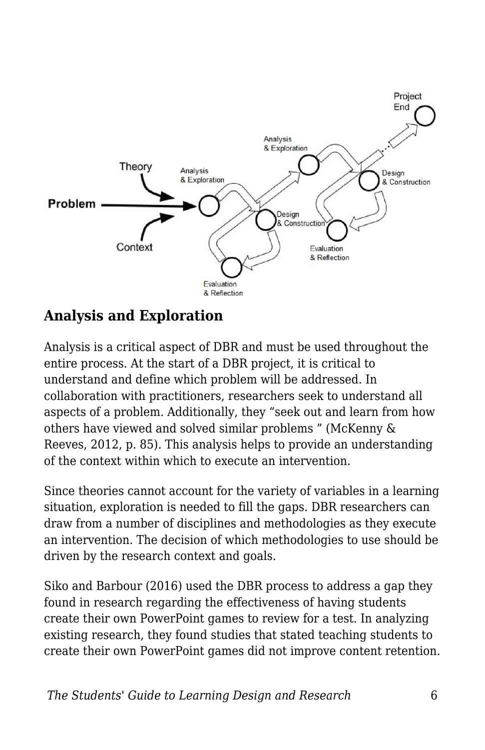

#### **Analysis and Exploration**

Analysis is a critical aspect of DBR and must be used throughout the entire process. At the start of a DBR project, it is critical to understand and define which problem will be addressed. In collaboration with practitioners, researchers seek to understand all aspects of a problem. Additionally, they "seek out and learn from how others have viewed and solved similar problems " (McKenny & Reeves, 2012, p. 85). This analysis helps to provide an understanding of the context within which to execute an intervention.

Since theories cannot account for the variety of variables in a learning situation, exploration is needed to fill the gaps. DBR researchers can draw from a number of disciplines and methodologies as they execute an intervention. The decision of which methodologies to use should be driven by the research context and goals.

Siko and Barbour (2016) used the DBR process to address a gap they found in research regarding the effectiveness of having students create their own PowerPoint games to review for a test. In analyzing existing research, they found studies that stated teaching students to create their own PowerPoint games did not improve content retention.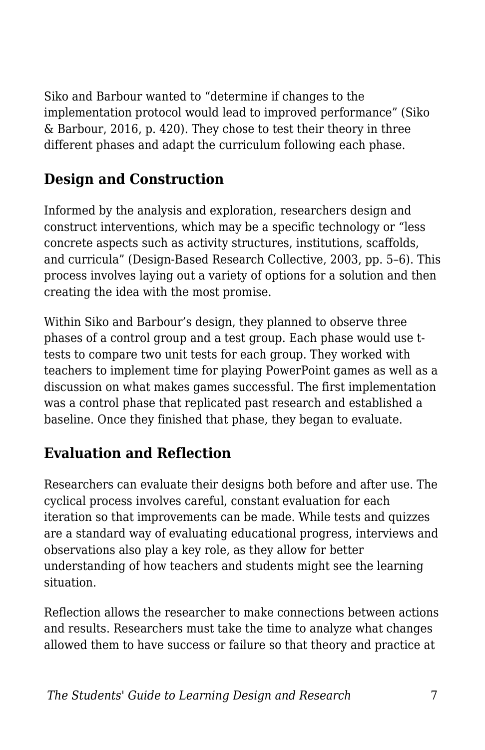Siko and Barbour wanted to "determine if changes to the implementation protocol would lead to improved performance" (Siko & Barbour, 2016, p. 420). They chose to test their theory in three different phases and adapt the curriculum following each phase.

#### **Design and Construction**

Informed by the analysis and exploration, researchers design and construct interventions, which may be a specific technology or "less concrete aspects such as activity structures, institutions, scaffolds, and curricula" (Design-Based Research Collective, 2003, pp. 5–6). This process involves laying out a variety of options for a solution and then creating the idea with the most promise.

Within Siko and Barbour's design, they planned to observe three phases of a control group and a test group. Each phase would use ttests to compare two unit tests for each group. They worked with teachers to implement time for playing PowerPoint games as well as a discussion on what makes games successful. The first implementation was a control phase that replicated past research and established a baseline. Once they finished that phase, they began to evaluate.

#### **Evaluation and Reflection**

Researchers can evaluate their designs both before and after use. The cyclical process involves careful, constant evaluation for each iteration so that improvements can be made. While tests and quizzes are a standard way of evaluating educational progress, interviews and observations also play a key role, as they allow for better understanding of how teachers and students might see the learning situation.

Reflection allows the researcher to make connections between actions and results. Researchers must take the time to analyze what changes allowed them to have success or failure so that theory and practice at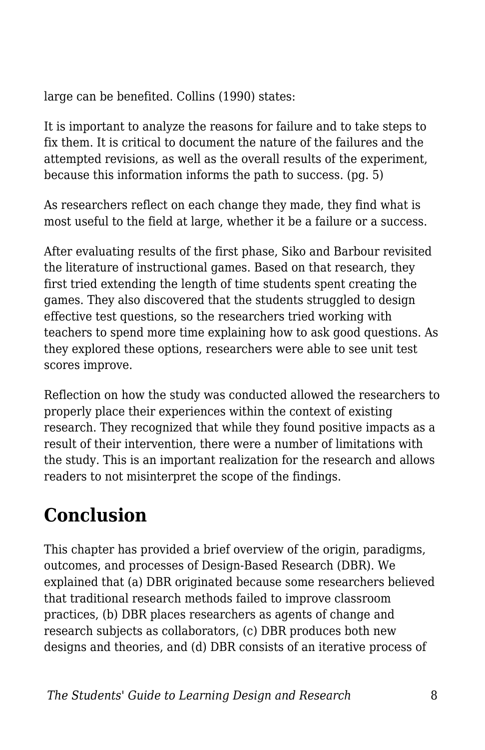large can be benefited. Collins (1990) states:

It is important to analyze the reasons for failure and to take steps to fix them. It is critical to document the nature of the failures and the attempted revisions, as well as the overall results of the experiment, because this information informs the path to success. (pg. 5)

As researchers reflect on each change they made, they find what is most useful to the field at large, whether it be a failure or a success.

After evaluating results of the first phase, Siko and Barbour revisited the literature of instructional games. Based on that research, they first tried extending the length of time students spent creating the games. They also discovered that the students struggled to design effective test questions, so the researchers tried working with teachers to spend more time explaining how to ask good questions. As they explored these options, researchers were able to see unit test scores improve.

Reflection on how the study was conducted allowed the researchers to properly place their experiences within the context of existing research. They recognized that while they found positive impacts as a result of their intervention, there were a number of limitations with the study. This is an important realization for the research and allows readers to not misinterpret the scope of the findings.

# **Conclusion**

This chapter has provided a brief overview of the origin, paradigms, outcomes, and processes of Design-Based Research (DBR). We explained that (a) DBR originated because some researchers believed that traditional research methods failed to improve classroom practices, (b) DBR places researchers as agents of change and research subjects as collaborators, (c) DBR produces both new designs and theories, and (d) DBR consists of an iterative process of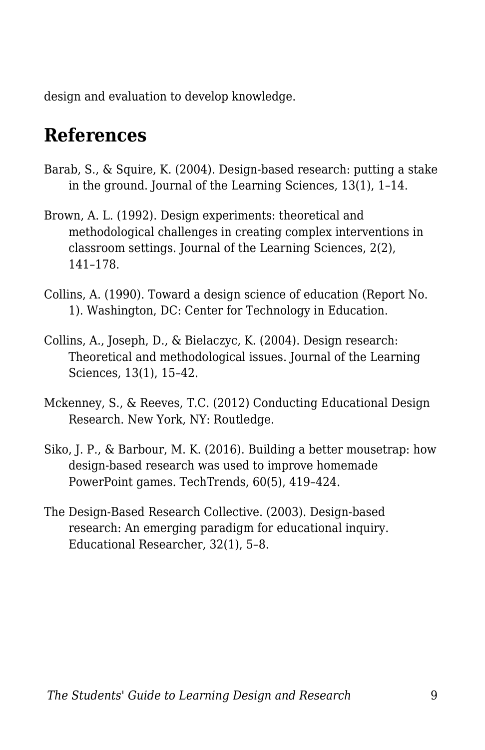design and evaluation to develop knowledge.

### **References**

- Barab, S., & Squire, K. (2004). Design-based research: putting a stake in the ground. Journal of the Learning Sciences, 13(1), 1–14.
- Brown, A. L. (1992). Design experiments: theoretical and methodological challenges in creating complex interventions in classroom settings. Journal of the Learning Sciences, 2(2), 141–178.
- Collins, A. (1990). Toward a design science of education (Report No. 1). Washington, DC: Center for Technology in Education.
- Collins, A., Joseph, D., & Bielaczyc, K. (2004). Design research: Theoretical and methodological issues. Journal of the Learning Sciences, 13(1), 15–42.
- Mckenney, S., & Reeves, T.C. (2012) Conducting Educational Design Research. New York, NY: Routledge.
- Siko, J. P., & Barbour, M. K. (2016). Building a better mousetrap: how design-based research was used to improve homemade PowerPoint games. TechTrends, 60(5), 419–424.
- The Design-Based Research Collective. (2003). Design-based research: An emerging paradigm for educational inquiry. Educational Researcher, 32(1), 5–8.